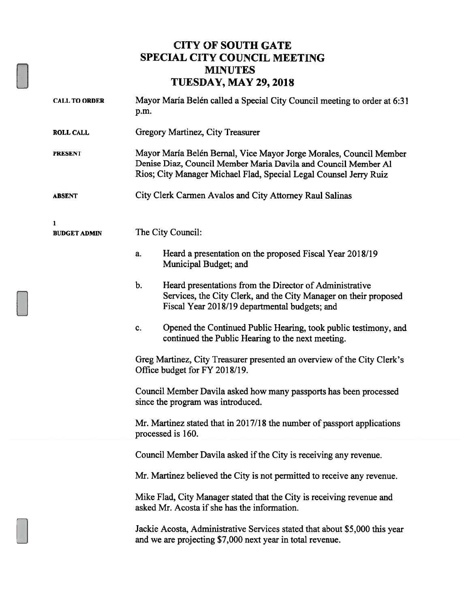### CITY OF SOUTH GATE SPECIAL CITY COUNCIL MEETING MINUTES TUESDAY, MAY 29,2018

| <b>CALL TO ORDER</b>     | Mayor María Belén called a Special City Council meeting to order at 6:31<br>p.m.                                                                                                                          |
|--------------------------|-----------------------------------------------------------------------------------------------------------------------------------------------------------------------------------------------------------|
| <b>ROLL CALL</b>         | Gregory Martinez, City Treasurer                                                                                                                                                                          |
| <b>PRESENT</b>           | Mayor María Belén Bernal, Vice Mayor Jorge Morales, Council Member<br>Denise Diaz, Council Member Maria Davila and Council Member Al<br>Rios; City Manager Michael Flad, Special Legal Counsel Jerry Ruiz |
| <b>ABSENT</b>            | City Clerk Carmen Avalos and City Attorney Raul Salinas                                                                                                                                                   |
| 1<br><b>BUDGET ADMIN</b> | The City Council:                                                                                                                                                                                         |
|                          | Heard a presentation on the proposed Fiscal Year 2018/19<br>a.<br>Municipal Budget; and                                                                                                                   |
|                          | b.<br>Heard presentations from the Director of Administrative<br>Services, the City Clerk, and the City Manager on their proposed<br>Fiscal Year 2018/19 departmental budgets; and                        |
|                          | Opened the Continued Public Hearing, took public testimony, and<br>c.<br>continued the Public Hearing to the next meeting.                                                                                |
|                          | Greg Martinez, City Treasurer presented an overview of the City Clerk's<br>Office budget for FY 2018/19.                                                                                                  |
|                          | Council Member Davila asked how many passports has been processed<br>since the program was introduced.                                                                                                    |
|                          | Mr. Martinez stated that in 2017/18 the number of passport applications<br>processed is 160.                                                                                                              |
|                          | Council Member Davila asked if the City is receiving any revenue.                                                                                                                                         |
|                          | Mr. Martinez believed the City is not permitted to receive any revenue.                                                                                                                                   |
|                          | Mike Flad, City Manager stated that the City is receiving revenue and<br>asked Mr. Acosta if she has the information.                                                                                     |
|                          | Jackie Acosta, Administrative Services stated that about \$5,000 this year<br>and we are projecting \$7,000 next year in total revenue.                                                                   |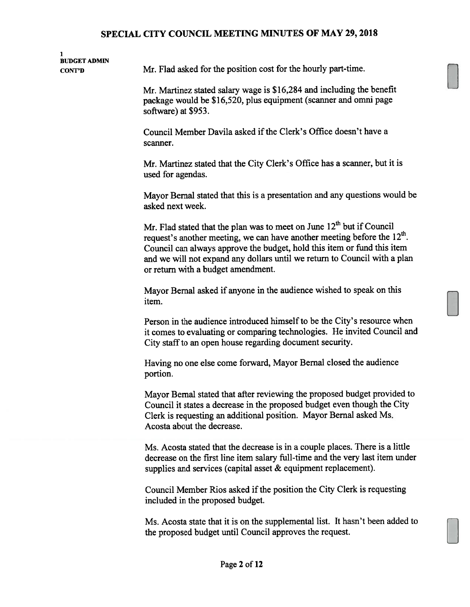BUDGET ADMIN CONT'D Mr. Flad asked for the position cost for the hourly part-time. Mr. Martinez stated salary wage is \$16,284 and including the benefit package would be \$16,520, plus equipment (scanner and omni page software) at \$953. Council Member Davila asked if the Clerk's Office doesn't have a scanner. Mr. Martinez stated that the City Clerk's Office has a scanner, but it is used for agendas. Mayor Bernal stated that this is a presentation and any questions would be asked next week. Mr. Flad stated that the plan was to meet on June  $12<sup>th</sup>$  but if Council request's another meeting, we can have another meeting before the  $12<sup>th</sup>$ . Council can always approve the budget, hold this item or fund this item and we will not expand any dollars until we return to Council with a plan or return with a budget amendment. Mayor Bemal asked if anyone in the audience wished to speak on this item. Person in the audience introduced himself to be the City's resource when it comes to evaluating or comparing technologies. He invited Council and City staff to an open house regarding document security. Having no one else come forward, Mayor Bernal closed the audience portion. Mayor Bernal stated that after reviewing the proposed budget provided to Council it states a decrease in the proposed budget even though the City Clerk is requesting an additional position. Mayor Bernal asked Ms. Acosta about the decrease. Ms. Acosta stated that the decrease is in a couple places. There is a little decrease on the first line item salary full-time and the very last item under supplies and services (capital asset & equipment replacement). Council Member Rios asked if the position the City Clerk is requesting included in the proposed budget. Ms. Acosta state that it is on the supplemental list. It hasn't been added to the proposed budget until Council approves the request.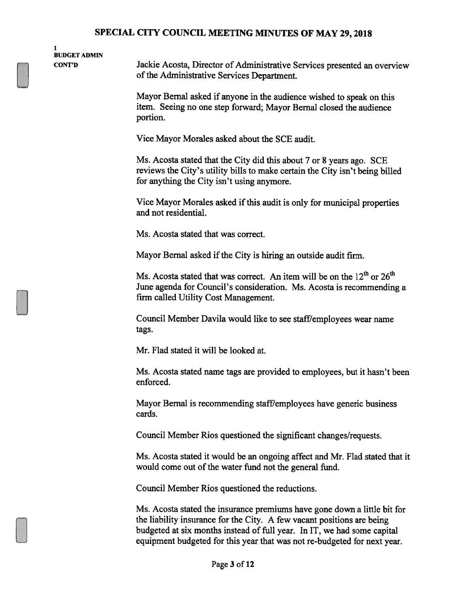## BUDGET ADMIN

CONT'D Jackie Acosta, Director of Administrative Services presented an overview of the Administrative Services Department.

> Mayor Bemal asked if anyone in the audience wished to speak on this item. Seeing no one step forward; Mayor Bernal closed the audience portion.

Vice Mayor Morales asked about the SCE audit.

Ms. Acosta stated that the City did this about 7 or <sup>8</sup> years ago. SCE reviews the City's utility bills to make certain the City isn't being billed for anything the City isn't using anymore.

Vice Mayor Morales asked ifthis audit is only for municipal properties and not residential.

Ms. Acosta stated that was correct.

Mayor Bernal asked if the City is hiring an outside audit firm.

Ms. Acosta stated that was correct. An item will be on the  $12<sup>th</sup>$  or  $26<sup>th</sup>$ June agenda for Council's consideration. Ms. Acosta is recommending a firm called Utility Cost Management.

Council Member Davila would like to see staff/employees wear name tags.

Mr. Flad stated it will be looked at.

Ms. Acosta stated name tags are provided to employees, but it hasn't been enforced.

Mayor Bernal is recommending staff/employees have generic business cards.

Council Member Rios questioned the significant changes/requests.

Ms. Acosta stated it would be an ongoing affect and Mr. Flad stated that it would come out of the water fund not the general fund.

Council Member Rios questioned the reductions.

Ms. Acosta stated the insurance premiums have gone down a little bit for the liability insurance for the City. A few vacant positions are being budgeted at six months instead of full year. In IT, we had some capital equipment budgeted for this year that was not re-budgeted for next year.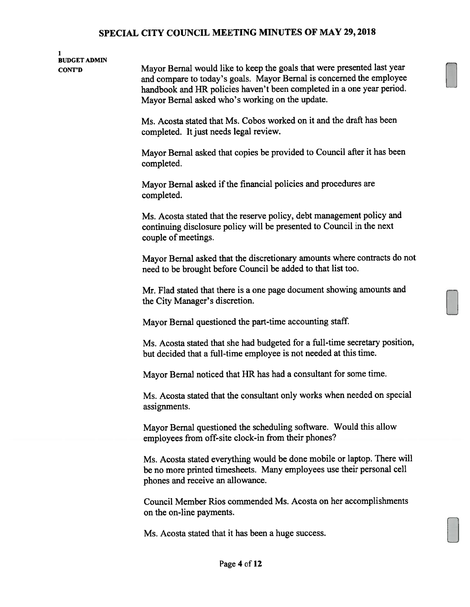## BUDGET ADMIN

CONT'D Mayor Bernal would like to keep the goals that were presented last year and compare to today's goals. Mayor Bernal is concerned the employee handbook and HR policies haven't been completed in a one year period. Mayor Bemal asked who's working on the update.

> Ms. Acosta stated that Ms. Cobos worked on it and the draft has been completed. It just needs legal review.

Mayor Bernal asked that copies be provided to Council after it has been completed.

Mayor Bernal asked if the financial policies and procedures are completed.

Ms. Acosta stated that the reserve policy, debt management policy and continuing disclosure policy will be presented to Council in the next couple of meetings.

Mayor Bernal asked that the discretionary amounts where contracts do not need to be brought before Council be added to that list too.

Mr. Flad stated that there is a one page document showing amounts and the City Manager's discretion.

Mayor Bernal questioned the part-time accounting staff.

Ms. Acosta stated that she had budgeted for a full-time secretary position, but decided that a full-time employee is not needed at this time.

Mayor Bernal noticed that HR has had a consultant for some time.

Ms. Acosta stated that the consultant only works when needed on special assignments.

Mayor Bernal questioned the scheduling software. Would this allow employees from off-site clock-in from their phones?

Ms. Acosta stated everything would be done mobile or laptop. There will be no more printed timesheets. Many employees use their personal cell phones and receive an allowance.

Council Member Rios commended Ms. Acosta on her accomplishments on the on-line payments.

Ms. Acosta stated that it has been a huge success.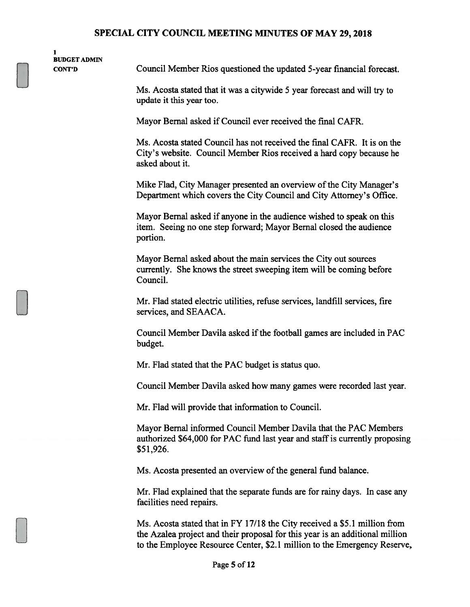1 BUDGET ADMIN

C0NT'D Council Member Rios questioned the updated 5-year financial forecast.

Ms. Acosta stated that it was a citywide <sup>5</sup> year forecast and will try to update it this year too.

Mayor Bernal asked if Council ever received the final CAFR.

Ms. Acosta stated Council has not received the final CAFR. It is on the City's website. Council Member Rios received a hard copy because he asked about it.

Mike Flad, City Manager presented an overview of the City Manager's Department which covers the City Council and City Attorney's Office.

Mayor Bernal asked if anyone in the audience wished to speak on this item. Seeing no one step forward; Mayor Bernal closed the audience portion.

Mayor Bernal asked about the main services the City out sources currently. She knows the street sweeping item will be coming before Council.

Mr. Flad stated electric utilities, refuse services, landfill services, fire services, and SEAACA.

Council Member Davila asked if the football games are included in PAC budget.

Mr. Flad stated that the PAC budget is status quo.

Council Member Davila asked how many games were recorded last year.

Mr. Flad will provide that information to Council.

Mayor Bernal informed Council Member Davila that the PAC Members authorized \$64,000 for PAC fund last year and staff is currently proposing \$51,926.

Ms. Acosta presented an overview of the general fund balance.

Mr. Flad explained that the separate funds are for rainy days. In case any facilities need repairs.

Ms. Acosta stated that in FY 17/18 the City received a \$5.1 million from the Azalea project and their proposal for this year is an additional million to the Employee Resource Center, \$2.1 million to the Emergency Reserve,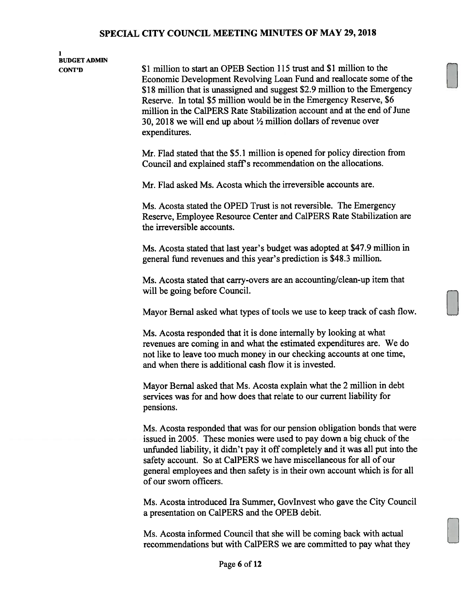# BUDGET ADMIN

CONT'D \$1 million to start an OPEB Section 115 trust and \$1 million to the Economic Development Revolving Loan Fund and reallocate some of the \$18 million that is unassigned and suggest \$2.9 million to the Emergency Reserve. In total \$5 million would be in the Emergency Reserve, \$6 million in the Ca1PERS Rate Stabilization account and at the end of June 30, 2018 we will end up about  $\frac{1}{2}$  million dollars of revenue over expenditures.

> Mr. Flad stated that the \$5.1 million is opened for policy direction from Council and explained staff's recommendation on the allocations.

Mr. Flad asked Ms. Acosta which the irreversible accounts are.

Ms. Acosta stated the OPED Trust is not reversible. The Emergency Reserve, Employee Resource Center and Ca1PERS Rate Stabilization are the irreversible accounts.

Ms. Acosta stated that last year's budget was adopted at \$47.9 million in general fund revenues and this year's prediction is \$48.3 million.

Ms. Acosta stated that carry-overs are an accounting/clean-up item that will be going before Council.

Mayor Bernal asked what types of tools we use to keep track of cash flow.

Ms. Acosta responded that it is done internally by looking at what revenues are coming in and what the estimated expenditures are. We do not like to leave too much money in our checking accounts at one time, and when there is additional cash flow it is invested.

Mayor Bernal asked that Ms. Acosta explain what the 2 million in debt services was for and how does that relate to our current liability for pensions.

Ms. Acosta responded that was for our pension obligation bonds that were issued in 2005. These monies were used to pay down a big chuck of the unfunded liability, it didn't pay it off completely and it was all put into the safety account. So at Ca1PERS we have miscellaneous for all of our general employees and then safety is in their own account which is for all of our sworn officers.

Ms. Acosta introduced Ira Summer, Govlnvest who gave the City Council a presentation on Ca1PERS and the OPEB debit.

Ms. Acosta informed Council that she will be coming back with actual recommendations but with CaIPERS we are committed to pay what they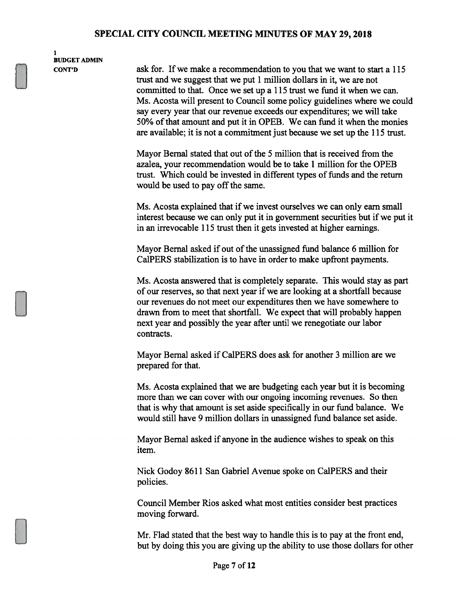1 BUDGET ADMIN

CONT'D ask for. If we make a recommendation to you that we want to start a 115 trust and we suggest that we put <sup>1</sup> million dollars in it, we are not committed to that. Once we set up a 115 trust we fund it when we can. Ms. Acosta will present to Council some policy guidelines where we could say every year that our revenue exceeds our expenditures; we will take 50% of that amount and put it in OPEB. We can fund it when the monies are available; it is not a commitment just because we set up the 115 trust.

> Mayor Bernal stated that out of the 5 million that is received from the azalea, your recommendation would be to take <sup>1</sup> million for the OPEB trust. Which could be invested in different types of funds and the return would be used to pay off the same.

Ms. Acosta explained that if we invest ourselves we can only earn small interest because we can only put it in government securities but if we put it in an irrevocable 115 trust then it gets invested at higher earnings.

Mayor Bernal asked if out of the unassigned fund balance 6 million for Ca1PERS stabilization is to have in order to make upfront payments.

Ms. Acosta answered that is completely separate. This would stay as part of our reserves, so that next year if we are looking at a shortfall because our revenues do not meet our expenditures then we have somewhere to drawn from to meet that shortfall. We expect that will probably happen next year and possibly the year after until we renegotiate our labor contracts.

Mayor Bernal asked if Ca1PERS does ask for another <sup>3</sup> million are we prepared for that.

Ms. Acosta explained that we are budgeting each year but it is becoming more than we can cover with our ongoing incoming revenues. So then that is why that amount is set aside specifically in our fund balance. We would still have 9 million dollars in unassigned fund balance set aside.

Mayor Bernal asked if anyone in the audience wishes to speak on this item.

Nick Godoy 8611 San Gabriel Avenue spoke on Ca1PERS and their policies.

Council Member Rios asked what most entities consider best practices moving forward.

Mr. Flad stated that the best way to handle this is to pay at the front end, but by doing this you are giving up the ability to use those dollars for other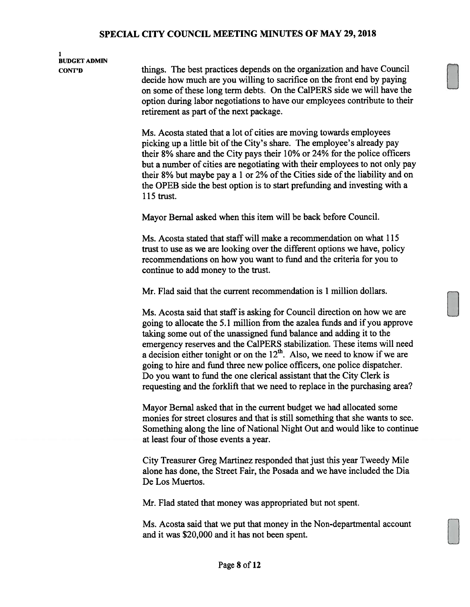## BUDGET ADMIN

CONT'D things. The best practices depends on the organization and have Council decide how much are you willing to sacrifice on the front end by paying on some ofthese long term debts. On the Ca1PERS side we will have the option during labor negotiations to have our employees contribute to their retirement as part of the next package.

> Ms. Acosta stated that a lot of cities are moving towards employees picking up a little bit of the City's share. The employee's already pay their 8% share and the City pays their 10% or 24% for the police officers but a number of cities are negotiating with their employees to not only pay their 8% but maybe pay a 1 or 2% of the Cities side of the liability and on the OPEB side the best option is to start prefunding and investing with a 115 trust.

Mayor Bernal asked when this item will be back before Council.

Ms. Acosta stated that staff will make a recommendation on what 115 trust to use as we are looking over the different options we have, policy recommendations on how you want to fund and the criteria for you to continue to add money to the trust.

Mr. Flad said that the current recommendation is <sup>1</sup> million dollars.

Ms. Acosta said that staff is asking for Council direction on how we are going to allocate the 5.1 million from the azalea funds and if you approve taking some out of the unassigned fund balance and adding it to the emergency reserves and the Ca1PERS stabilization. These items will need a decision either tonight or on the  $12<sup>th</sup>$ . Also, we need to know if we are going to hire and fund three new police officers, one police dispatcher. Do you want to fund the one clerical assistant that the City Clerk is requesting and the forklift that we need to replace in the purchasing area?

Mayor Bernal asked that in the current budget we had allocated some monies for street closures and that is still something that she wants to see. Something along the line of National Night Out and would like to continue at least four of those events a year.

City Treasurer Greg Martinez responded that just this year Tweedy Mile alone has done, the Street Fair, the Posada and we have included the Dia De Los Muertos.

Mr. Flad stated that money was appropriated but not spent.

Ms. Acosta said that we put that money in the Non-departmental account and it was \$20,000 and it has not been spent.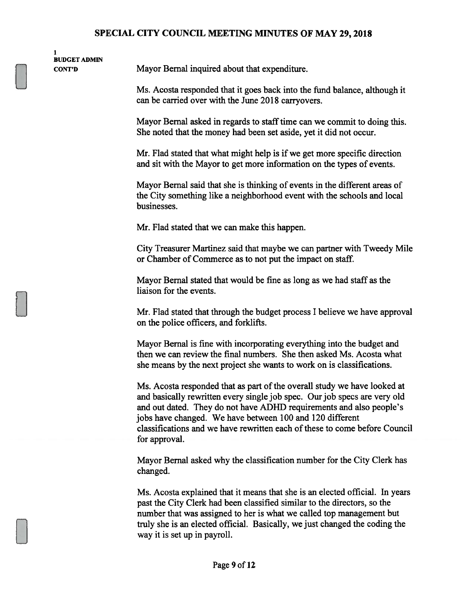BUDGET ADMIN

CONT'D Mayor Bernal inquired about that expenditure.

Ms. Acosta responded that it goes back into the fund balance, although it can be carried over with the June 2018 carryovers.

Mayor Bernal asked in regards to staff time can we commit to doing this. She noted that the money had been set aside, yet it did not occur.

Mr. Flad stated that what might help is if we get more specific direction and sit with the Mayor to get more information on the types of events.

Mayor Bernal said that she is thinking of events in the different areas of the City something like a neighborhood event with the schools and local businesses.

Mr. Flad stated that we can make this happen.

City Treasurer Martinez said that maybe we can partner with Tweedy Mile or Chamber of Commerce as to not put the impact on staff.

Mayor Bernal stated that would be fine as long as we had staff as the liaison for the events.

Mr. Flad stated that through the budget process I believe we have approval on the police officers, and forklifts.

Mayor Bemal is fine with incorporating everything into the budget and then we can review the final numbers. She then asked Ms. Acosta what she means by the next project she wants to work on is classifications.

Ms. Acosta responded that as part of the overall study we have looked at and basically rewritten every single job spec. Our job specs are very old and out dated. They do not have ADHD requirements and also people's jobs have changed. We have between 100 and 120 different classifications and we have rewritten each of these to come before Council for approval.

Mayor Bemal asked why the classification number for the City Clerk has changed.

Ms. Acosta explained that it means that she is an elected official. In years past the City Clerk had been classified similar to the directors, so the number that was assigned to her is what we called top management but truly she is an elected official. Basically, we just changed the coding the way it is set up in payroll.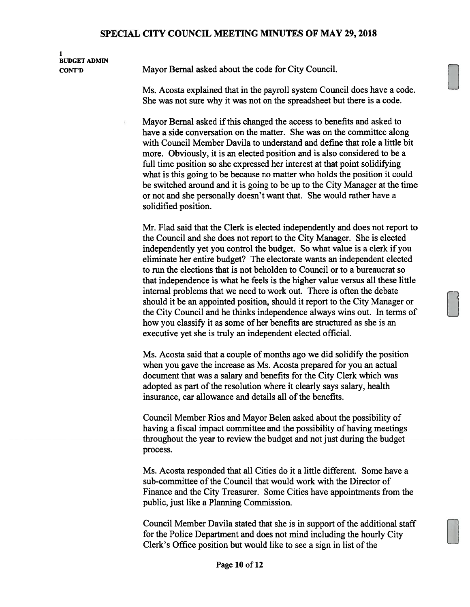1 BUDGET ADMIN

CONT'D Mayor Bemal asked about the code for City Council.

Ms. Acosta explained that in the payroll system Council does have a code. She was not sure why it was not on the spreadsheet but there is a code.

Mayor Bernal asked ifthis changed the access to benefits and asked to have a side conversation on the matter. She was on the committee along with Council Member Davila to understand and define that role a little bit more. Obviously, it is an elected position and is also considered to be a full time position so she expressed her interest at that point solidifying what is this going to be because no matter who holds the position it could be switched around and it is going to be up to the City Manager at the time or not and she personally doesn't want that. She would rather have a solidified position.

Mr. Flad said that the Clerk is elected independently and does not report to the Council and she does not report to the City Manager. She is elected independently yet you control the budget. So what value is a clerk if you eliminate her entire budget? The electorate wants an independent elected to run the elections that is not beholden to Council or to a bureaucrat so that independence is what he feels is the higher value versus all these little internal problems that we need to work out. There is often the debate should it be an appointed position, should it report to the City Manager or the City Council and he thinks independence always wins out. In terms of how you classify it as some of her benefits are structured as she is an executive yet she is truly an independent elected official.

Ms. Acosta said that a couple of months ago we did solidify the position when you gave the increase as Ms. Acosta prepared for you an actual document that was a salary and benefits for the City Clerk which was adopted as part of the resolution where it clearly says salary, health insurance, car allowance and details all of the benefits.

Council Member Rios and Mayor Belen asked about the possibility of having a fiscal impact committee and the possibility of having meetings throughout the year to review the budget and not just during the budget process.

Ms. Acosta responded that all Cities do it a little different. Some have a sub-committee of the Council that would work with the Director of Finance and the City Treasurer. Some Cities have appointments from the public, just like a Planning Commission.

Council Member Davila stated that she is in support of the additional staff for the Police Department and does not mind including the hourly City Clerk's Office position but would like to see a sign in list of the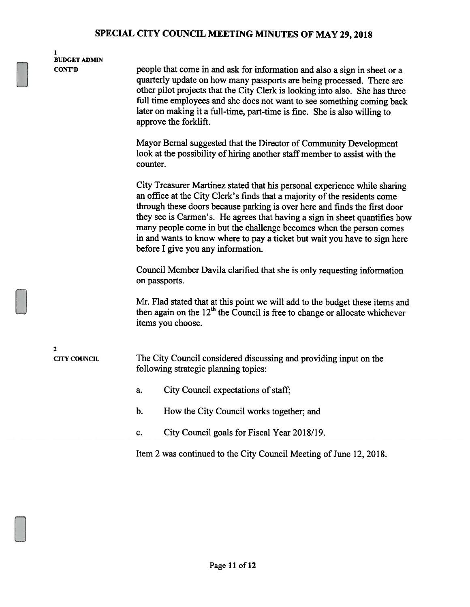BUDGET ADMIN

CONT'D people that come in and ask for information and also a sign in sheet or a quarterly update on how many passports are being processed. There are other pilot projects that the City Clerk is looking into also. She has three full time employees and she does not want to see something coming back later on making it a full-time, part-time is fine. She is also willing to approve the forklift.

> Mayor Bernal suggested that the Director of Community Development look at the possibility of hiring another staff member to assist with the counter.

City Treasurer Martinez stated that his personal experience while sharing an office at the City Clerk's finds that a majority of the residents come through these doors because parking is over here and finds the first door they see is Carmen's. He agrees that having a sign in sheet quantifies how many people come in but the challenge becomes when the person comes in and wants to know where to pay a ticket but wait you have to sign here before I give you any information.

Council Member Davila clarified that she is only requesting information on passports.

Mr. Flad stated that at this point we will add to the budget these items and then again on the  $12<sup>th</sup>$  the Council is free to change or allocate whichever items you choose.

2

CITY COUNCIL The City Council considered discussing and providing input on the following strategic planning topics:

- a. City Council expectations of staff;
- b. How the City Council works together; and
- c. City Council goals for Fiscal Year 2018/19.

Item 2 was continued to the City Council Meeting of June 12, 2018.